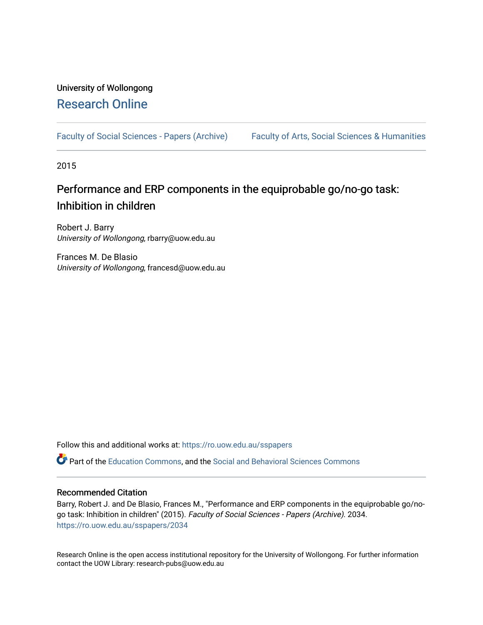# University of Wollongong [Research Online](https://ro.uow.edu.au/)

[Faculty of Social Sciences - Papers \(Archive\)](https://ro.uow.edu.au/sspapers) Faculty of Arts, Social Sciences & Humanities

2015

# Performance and ERP components in the equiprobable go/no-go task: Inhibition in children

Robert J. Barry University of Wollongong, rbarry@uow.edu.au

Frances M. De Blasio University of Wollongong, francesd@uow.edu.au

Follow this and additional works at: [https://ro.uow.edu.au/sspapers](https://ro.uow.edu.au/sspapers?utm_source=ro.uow.edu.au%2Fsspapers%2F2034&utm_medium=PDF&utm_campaign=PDFCoverPages) 

Part of the [Education Commons](http://network.bepress.com/hgg/discipline/784?utm_source=ro.uow.edu.au%2Fsspapers%2F2034&utm_medium=PDF&utm_campaign=PDFCoverPages), and the [Social and Behavioral Sciences Commons](http://network.bepress.com/hgg/discipline/316?utm_source=ro.uow.edu.au%2Fsspapers%2F2034&utm_medium=PDF&utm_campaign=PDFCoverPages) 

### Recommended Citation

Barry, Robert J. and De Blasio, Frances M., "Performance and ERP components in the equiprobable go/nogo task: Inhibition in children" (2015). Faculty of Social Sciences - Papers (Archive). 2034. [https://ro.uow.edu.au/sspapers/2034](https://ro.uow.edu.au/sspapers/2034?utm_source=ro.uow.edu.au%2Fsspapers%2F2034&utm_medium=PDF&utm_campaign=PDFCoverPages)

Research Online is the open access institutional repository for the University of Wollongong. For further information contact the UOW Library: research-pubs@uow.edu.au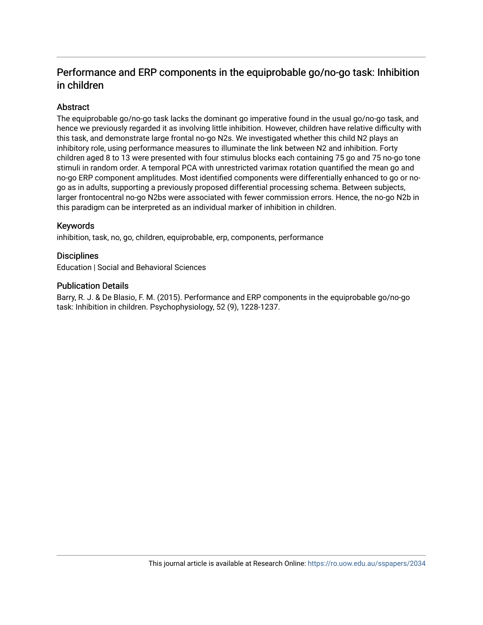## Performance and ERP components in the equiprobable go/no-go task: Inhibition in children

## Abstract

The equiprobable go/no-go task lacks the dominant go imperative found in the usual go/no-go task, and hence we previously regarded it as involving little inhibition. However, children have relative difficulty with this task, and demonstrate large frontal no-go N2s. We investigated whether this child N2 plays an inhibitory role, using performance measures to illuminate the link between N2 and inhibition. Forty children aged 8 to 13 were presented with four stimulus blocks each containing 75 go and 75 no-go tone stimuli in random order. A temporal PCA with unrestricted varimax rotation quantified the mean go and no-go ERP component amplitudes. Most identified components were differentially enhanced to go or nogo as in adults, supporting a previously proposed differential processing schema. Between subjects, larger frontocentral no-go N2bs were associated with fewer commission errors. Hence, the no-go N2b in this paradigm can be interpreted as an individual marker of inhibition in children.

## Keywords

inhibition, task, no, go, children, equiprobable, erp, components, performance

### **Disciplines**

Education | Social and Behavioral Sciences

#### Publication Details

Barry, R. J. & De Blasio, F. M. (2015). Performance and ERP components in the equiprobable go/no-go task: Inhibition in children. Psychophysiology, 52 (9), 1228-1237.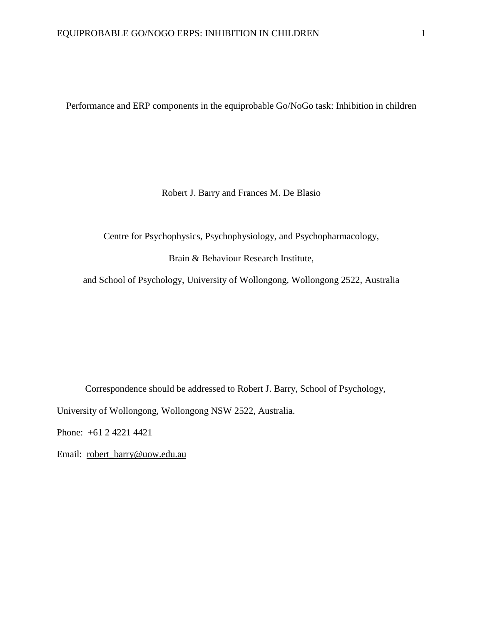Performance and ERP components in the equiprobable Go/NoGo task: Inhibition in children

Robert J. Barry and Frances M. De Blasio

Centre for Psychophysics, Psychophysiology, and Psychopharmacology,

Brain & Behaviour Research Institute,

and School of Psychology, University of Wollongong, Wollongong 2522, Australia

Correspondence should be addressed to Robert J. Barry, School of Psychology, University of Wollongong, Wollongong NSW 2522, Australia.

Phone: +61 2 4221 4421

Email: [robert\\_barry@uow.edu.au](mailto:robert_barry@uow.edu.au)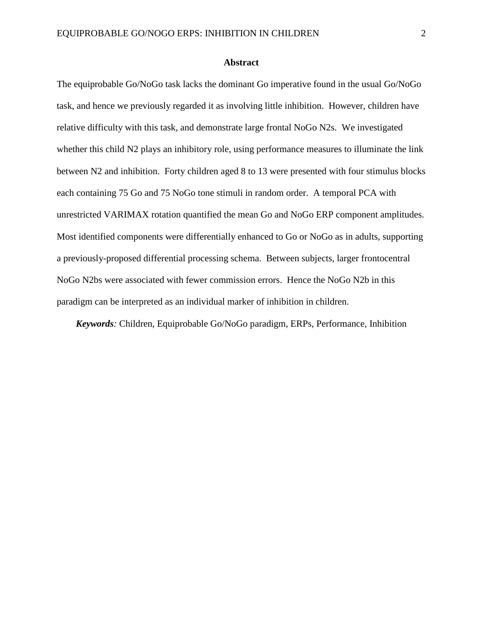#### **Abstract**

The equiprobable Go/NoGo task lacks the dominant Go imperative found in the usual Go/NoGo task, and hence we previously regarded it as involving little inhibition. However, children have relative difficulty with this task, and demonstrate large frontal NoGo N2s. We investigated whether this child N2 plays an inhibitory role, using performance measures to illuminate the link between N2 and inhibition. Forty children aged 8 to 13 were presented with four stimulus blocks each containing 75 Go and 75 NoGo tone stimuli in random order. A temporal PCA with unrestricted VARIMAX rotation quantified the mean Go and NoGo ERP component amplitudes. Most identified components were differentially enhanced to Go or NoGo as in adults, supporting a previously-proposed differential processing schema. Between subjects, larger frontocentral NoGo N2bs were associated with fewer commission errors. Hence the NoGo N2b in this paradigm can be interpreted as an individual marker of inhibition in children.

*Keywords:* Children, Equiprobable Go/NoGo paradigm, ERPs, Performance, Inhibition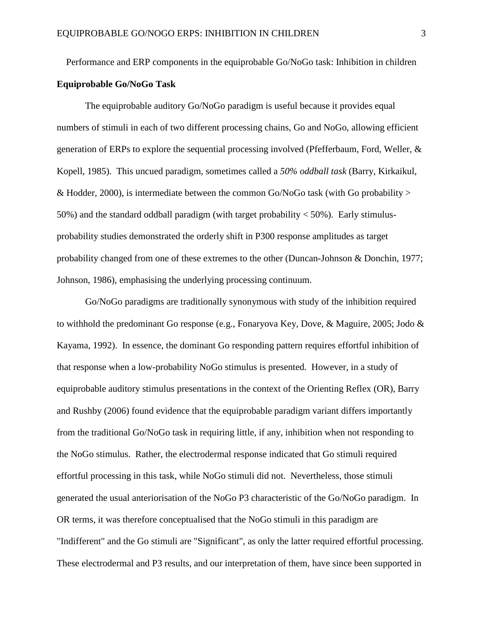Performance and ERP components in the equiprobable Go/NoGo task: Inhibition in children

## **Equiprobable Go/NoGo Task**

The equiprobable auditory Go/NoGo paradigm is useful because it provides equal numbers of stimuli in each of two different processing chains, Go and NoGo, allowing efficient generation of ERPs to explore the sequential processing involved (Pfefferbaum, Ford, Weller, & Kopell, 1985). This uncued paradigm, sometimes called a *50% oddball task* (Barry, Kirkaikul, & Hodder, 2000), is intermediate between the common Go/NoGo task (with Go probability  $>$ 50%) and the standard oddball paradigm (with target probability  $<$  50%). Early stimulusprobability studies demonstrated the orderly shift in P300 response amplitudes as target probability changed from one of these extremes to the other (Duncan-Johnson & Donchin, 1977; Johnson, 1986), emphasising the underlying processing continuum.

Go/NoGo paradigms are traditionally synonymous with study of the inhibition required to withhold the predominant Go response (e.g., Fonaryova Key, Dove, & Maguire, 2005; Jodo & Kayama, 1992). In essence, the dominant Go responding pattern requires effortful inhibition of that response when a low-probability NoGo stimulus is presented. However, in a study of equiprobable auditory stimulus presentations in the context of the Orienting Reflex (OR), Barry and Rushby (2006) found evidence that the equiprobable paradigm variant differs importantly from the traditional Go/NoGo task in requiring little, if any, inhibition when not responding to the NoGo stimulus. Rather, the electrodermal response indicated that Go stimuli required effortful processing in this task, while NoGo stimuli did not. Nevertheless, those stimuli generated the usual anteriorisation of the NoGo P3 characteristic of the Go/NoGo paradigm. In OR terms, it was therefore conceptualised that the NoGo stimuli in this paradigm are "Indifferent" and the Go stimuli are "Significant", as only the latter required effortful processing. These electrodermal and P3 results, and our interpretation of them, have since been supported in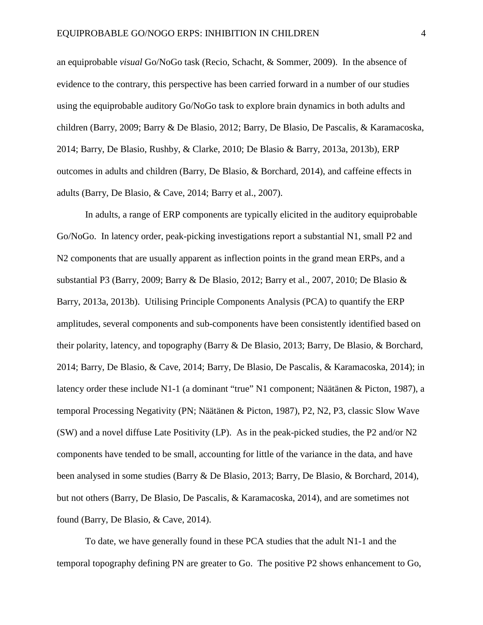an equiprobable *visual* Go/NoGo task (Recio, Schacht, & Sommer, 2009). In the absence of evidence to the contrary, this perspective has been carried forward in a number of our studies using the equiprobable auditory Go/NoGo task to explore brain dynamics in both adults and children (Barry, 2009; Barry & De Blasio, 2012; Barry, De Blasio, De Pascalis, & Karamacoska, 2014; Barry, De Blasio, Rushby, & Clarke, 2010; De Blasio & Barry, 2013a, 2013b), ERP outcomes in adults and children (Barry, De Blasio, & Borchard, 2014), and caffeine effects in adults (Barry, De Blasio, & Cave, 2014; Barry et al., 2007).

In adults, a range of ERP components are typically elicited in the auditory equiprobable Go/NoGo. In latency order, peak-picking investigations report a substantial N1, small P2 and N2 components that are usually apparent as inflection points in the grand mean ERPs, and a substantial P3 (Barry, 2009; Barry & De Blasio, 2012; Barry et al., 2007, 2010; De Blasio & Barry, 2013a, 2013b). Utilising Principle Components Analysis (PCA) to quantify the ERP amplitudes, several components and sub-components have been consistently identified based on their polarity, latency, and topography (Barry & De Blasio, 2013; Barry, De Blasio, & Borchard, 2014; Barry, De Blasio, & Cave, 2014; Barry, De Blasio, De Pascalis, & Karamacoska, 2014); in latency order these include N1-1 (a dominant "true" N1 component; Näätänen & Picton, 1987), a temporal Processing Negativity (PN; Näätänen & Picton, 1987), P2, N2, P3, classic Slow Wave (SW) and a novel diffuse Late Positivity (LP). As in the peak-picked studies, the P2 and/or N2 components have tended to be small, accounting for little of the variance in the data, and have been analysed in some studies (Barry & De Blasio, 2013; Barry, De Blasio, & Borchard, 2014), but not others (Barry, De Blasio, De Pascalis, & Karamacoska, 2014), and are sometimes not found (Barry, De Blasio, & Cave, 2014).

To date, we have generally found in these PCA studies that the adult N1-1 and the temporal topography defining PN are greater to Go. The positive P2 shows enhancement to Go,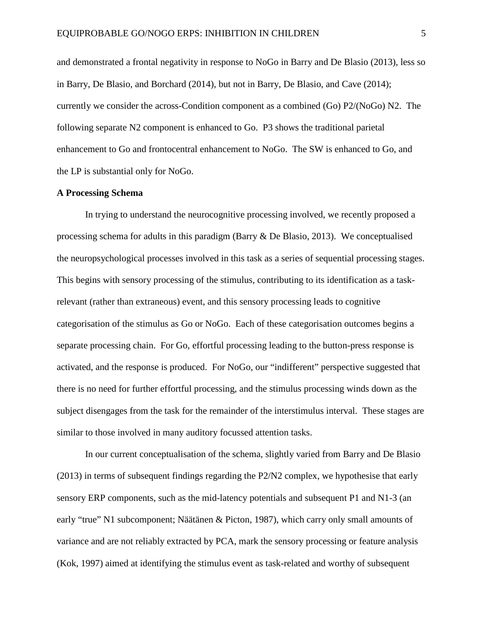and demonstrated a frontal negativity in response to NoGo in Barry and De Blasio (2013), less so in Barry, De Blasio, and Borchard (2014), but not in Barry, De Blasio, and Cave (2014); currently we consider the across-Condition component as a combined (Go) P2/(NoGo) N2. The following separate N2 component is enhanced to Go. P3 shows the traditional parietal enhancement to Go and frontocentral enhancement to NoGo. The SW is enhanced to Go, and the LP is substantial only for NoGo.

#### **A Processing Schema**

In trying to understand the neurocognitive processing involved, we recently proposed a processing schema for adults in this paradigm (Barry & De Blasio, 2013). We conceptualised the neuropsychological processes involved in this task as a series of sequential processing stages. This begins with sensory processing of the stimulus, contributing to its identification as a taskrelevant (rather than extraneous) event, and this sensory processing leads to cognitive categorisation of the stimulus as Go or NoGo. Each of these categorisation outcomes begins a separate processing chain. For Go, effortful processing leading to the button-press response is activated, and the response is produced. For NoGo, our "indifferent" perspective suggested that there is no need for further effortful processing, and the stimulus processing winds down as the subject disengages from the task for the remainder of the interstimulus interval. These stages are similar to those involved in many auditory focussed attention tasks.

In our current conceptualisation of the schema, slightly varied from Barry and De Blasio (2013) in terms of subsequent findings regarding the P2/N2 complex, we hypothesise that early sensory ERP components, such as the mid-latency potentials and subsequent P1 and N1-3 (an early "true" N1 subcomponent; Näätänen & Picton, 1987), which carry only small amounts of variance and are not reliably extracted by PCA, mark the sensory processing or feature analysis (Kok, 1997) aimed at identifying the stimulus event as task-related and worthy of subsequent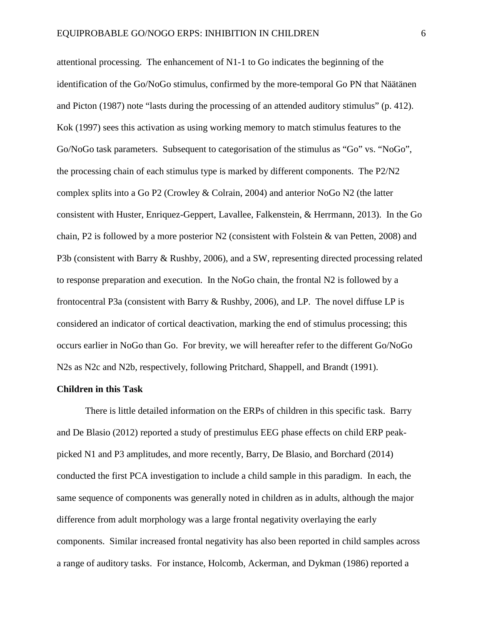attentional processing. The enhancement of N1-1 to Go indicates the beginning of the identification of the Go/NoGo stimulus, confirmed by the more-temporal Go PN that Näätänen and Picton (1987) note "lasts during the processing of an attended auditory stimulus" (p. 412). Kok (1997) sees this activation as using working memory to match stimulus features to the Go/NoGo task parameters. Subsequent to categorisation of the stimulus as "Go" vs. "NoGo", the processing chain of each stimulus type is marked by different components. The P2/N2 complex splits into a Go P2 (Crowley & Colrain, 2004) and anterior NoGo N2 (the latter consistent with Huster, Enriquez-Geppert, Lavallee, Falkenstein, & Herrmann, 2013). In the Go chain, P2 is followed by a more posterior N2 (consistent with Folstein & van Petten, 2008) and P3b (consistent with Barry & Rushby, 2006), and a SW, representing directed processing related to response preparation and execution. In the NoGo chain, the frontal N2 is followed by a frontocentral P3a (consistent with Barry & Rushby, 2006), and LP. The novel diffuse LP is considered an indicator of cortical deactivation, marking the end of stimulus processing; this occurs earlier in NoGo than Go. For brevity, we will hereafter refer to the different Go/NoGo N2s as N2c and N2b, respectively, following Pritchard, Shappell, and Brandt (1991).

#### **Children in this Task**

There is little detailed information on the ERPs of children in this specific task. Barry and De Blasio (2012) reported a study of prestimulus EEG phase effects on child ERP peakpicked N1 and P3 amplitudes, and more recently, Barry, De Blasio, and Borchard (2014) conducted the first PCA investigation to include a child sample in this paradigm. In each, the same sequence of components was generally noted in children as in adults, although the major difference from adult morphology was a large frontal negativity overlaying the early components. Similar increased frontal negativity has also been reported in child samples across a range of auditory tasks. For instance, Holcomb, Ackerman, and Dykman (1986) reported a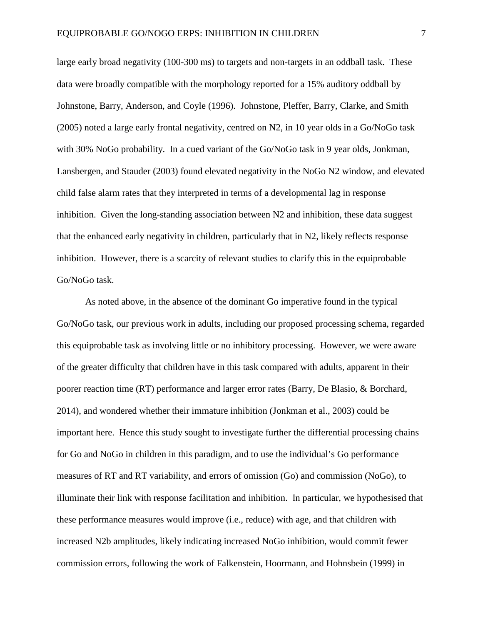large early broad negativity (100-300 ms) to targets and non-targets in an oddball task. These data were broadly compatible with the morphology reported for a 15% auditory oddball by Johnstone, Barry, Anderson, and Coyle (1996). Johnstone, Pleffer, Barry, Clarke, and Smith (2005) noted a large early frontal negativity, centred on N2, in 10 year olds in a Go/NoGo task with 30% NoGo probability. In a cued variant of the Go/NoGo task in 9 year olds, Jonkman, Lansbergen, and Stauder (2003) found elevated negativity in the NoGo N2 window, and elevated child false alarm rates that they interpreted in terms of a developmental lag in response inhibition. Given the long-standing association between N2 and inhibition, these data suggest that the enhanced early negativity in children, particularly that in N2, likely reflects response inhibition. However, there is a scarcity of relevant studies to clarify this in the equiprobable Go/NoGo task.

As noted above, in the absence of the dominant Go imperative found in the typical Go/NoGo task, our previous work in adults, including our proposed processing schema, regarded this equiprobable task as involving little or no inhibitory processing. However, we were aware of the greater difficulty that children have in this task compared with adults, apparent in their poorer reaction time (RT) performance and larger error rates (Barry, De Blasio, & Borchard, 2014), and wondered whether their immature inhibition (Jonkman et al., 2003) could be important here. Hence this study sought to investigate further the differential processing chains for Go and NoGo in children in this paradigm, and to use the individual's Go performance measures of RT and RT variability, and errors of omission (Go) and commission (NoGo), to illuminate their link with response facilitation and inhibition. In particular, we hypothesised that these performance measures would improve (i.e., reduce) with age, and that children with increased N2b amplitudes, likely indicating increased NoGo inhibition, would commit fewer commission errors, following the work of Falkenstein, Hoormann, and Hohnsbein (1999) in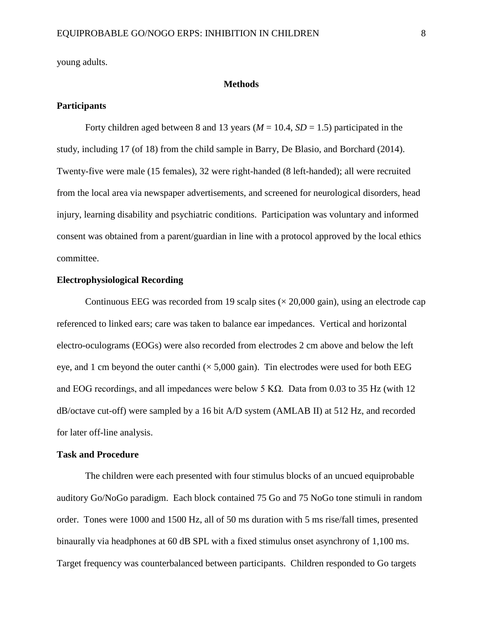young adults.

#### **Methods**

#### **Participants**

Forty children aged between 8 and 13 years ( $M = 10.4$ ,  $SD = 1.5$ ) participated in the study, including 17 (of 18) from the child sample in Barry, De Blasio, and Borchard (2014). Twenty-five were male (15 females), 32 were right-handed (8 left-handed); all were recruited from the local area via newspaper advertisements, and screened for neurological disorders, head injury, learning disability and psychiatric conditions. Participation was voluntary and informed consent was obtained from a parent/guardian in line with a protocol approved by the local ethics committee.

#### **Electrophysiological Recording**

Continuous EEG was recorded from 19 scalp sites  $(\times 20,000 \text{ gain})$ , using an electrode cap referenced to linked ears; care was taken to balance ear impedances. Vertical and horizontal electro-oculograms (EOGs) were also recorded from electrodes 2 cm above and below the left eye, and 1 cm beyond the outer canthi  $(\times 5,000 \text{ gain})$ . Tin electrodes were used for both EEG and EOG recordings, and all impedances were below 5 K $\Omega$ . Data from 0.03 to 35 Hz (with 12 dB/octave cut-off) were sampled by a 16 bit A/D system (AMLAB II) at 512 Hz, and recorded for later off-line analysis.

#### **Task and Procedure**

The children were each presented with four stimulus blocks of an uncued equiprobable auditory Go/NoGo paradigm. Each block contained 75 Go and 75 NoGo tone stimuli in random order. Tones were 1000 and 1500 Hz, all of 50 ms duration with 5 ms rise/fall times, presented binaurally via headphones at 60 dB SPL with a fixed stimulus onset asynchrony of 1,100 ms. Target frequency was counterbalanced between participants. Children responded to Go targets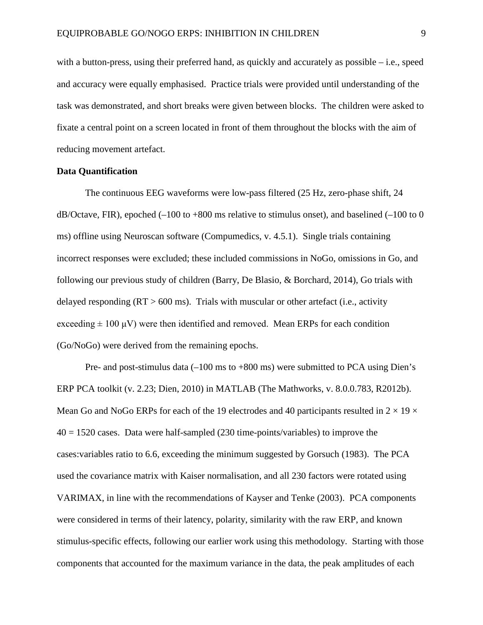with a button-press, using their preferred hand, as quickly and accurately as possible – i.e., speed and accuracy were equally emphasised. Practice trials were provided until understanding of the task was demonstrated, and short breaks were given between blocks. The children were asked to fixate a central point on a screen located in front of them throughout the blocks with the aim of reducing movement artefact.

#### **Data Quantification**

The continuous EEG waveforms were low-pass filtered (25 Hz, zero-phase shift, 24  $dB/Octave$ , FIR), epoched (–100 to +800 ms relative to stimulus onset), and baselined (–100 to 0 ms) offline using Neuroscan software (Compumedics, v. 4.5.1). Single trials containing incorrect responses were excluded; these included commissions in NoGo, omissions in Go, and following our previous study of children (Barry, De Blasio, & Borchard, 2014), Go trials with delayed responding  $(RT > 600 \text{ ms})$ . Trials with muscular or other artefact (i.e., activity exceeding  $\pm 100 \mu V$ ) were then identified and removed. Mean ERPs for each condition (Go/NoGo) were derived from the remaining epochs.

Pre- and post-stimulus data (–100 ms to +800 ms) were submitted to PCA using Dien's ERP PCA toolkit (v. 2.23; Dien, 2010) in MATLAB (The Mathworks, v. 8.0.0.783, R2012b). Mean Go and NoGo ERPs for each of the 19 electrodes and 40 participants resulted in  $2 \times 19 \times$  $40 = 1520$  cases. Data were half-sampled (230 time-points/variables) to improve the cases:variables ratio to 6.6, exceeding the minimum suggested by Gorsuch (1983). The PCA used the covariance matrix with Kaiser normalisation, and all 230 factors were rotated using VARIMAX, in line with the recommendations of Kayser and Tenke (2003). PCA components were considered in terms of their latency, polarity, similarity with the raw ERP, and known stimulus-specific effects, following our earlier work using this methodology. Starting with those components that accounted for the maximum variance in the data, the peak amplitudes of each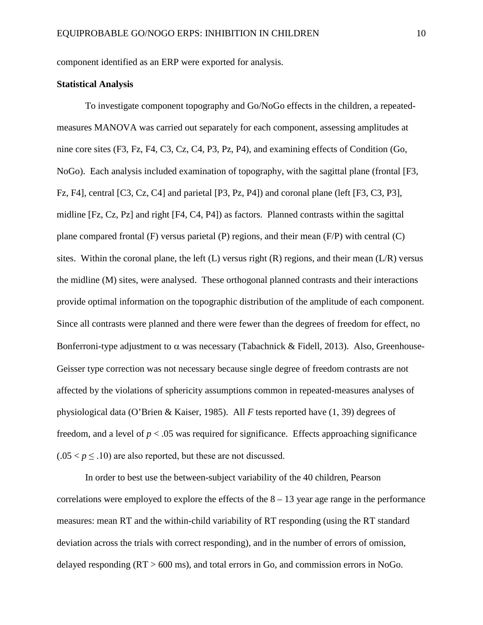component identified as an ERP were exported for analysis.

## **Statistical Analysis**

To investigate component topography and Go/NoGo effects in the children, a repeatedmeasures MANOVA was carried out separately for each component, assessing amplitudes at nine core sites (F3, Fz, F4, C3, Cz, C4, P3, Pz, P4), and examining effects of Condition (Go, NoGo). Each analysis included examination of topography, with the sagittal plane (frontal [F3, Fz, F4], central [C3, Cz, C4] and parietal [P3, Pz, P4]) and coronal plane (left [F3, C3, P3], midline [Fz, Cz, Pz] and right [F4, C4, P4]) as factors. Planned contrasts within the sagittal plane compared frontal (F) versus parietal (P) regions, and their mean (F/P) with central (C) sites. Within the coronal plane, the left  $(L)$  versus right  $(R)$  regions, and their mean  $(L/R)$  versus the midline (M) sites, were analysed. These orthogonal planned contrasts and their interactions provide optimal information on the topographic distribution of the amplitude of each component. Since all contrasts were planned and there were fewer than the degrees of freedom for effect, no Bonferroni-type adjustment to  $\alpha$  was necessary (Tabachnick & Fidell, 2013). Also, Greenhouse-Geisser type correction was not necessary because single degree of freedom contrasts are not affected by the violations of sphericity assumptions common in repeated-measures analyses of physiological data (O'Brien & Kaiser, 1985). All *F* tests reported have (1, 39) degrees of freedom, and a level of  $p < 0.05$  was required for significance. Effects approaching significance  $(.05 < p \leq .10)$  are also reported, but these are not discussed.

In order to best use the between-subject variability of the 40 children, Pearson correlations were employed to explore the effects of the  $8 - 13$  year age range in the performance measures: mean RT and the within-child variability of RT responding (using the RT standard deviation across the trials with correct responding), and in the number of errors of omission, delayed responding  $(RT > 600 \text{ ms})$ , and total errors in Go, and commission errors in NoGo.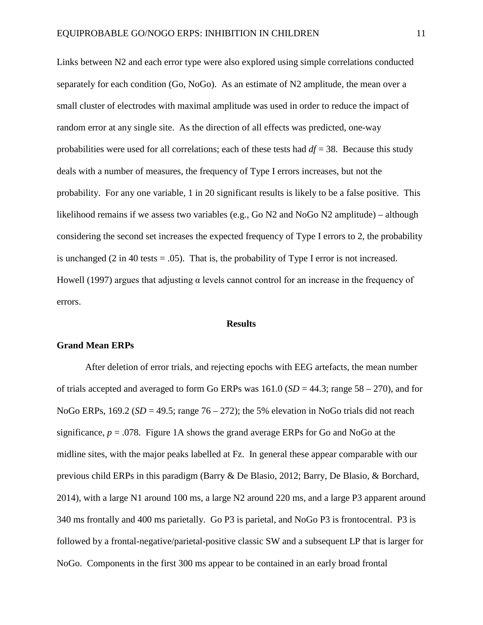Links between N2 and each error type were also explored using simple correlations conducted separately for each condition (Go, NoGo). As an estimate of N2 amplitude, the mean over a small cluster of electrodes with maximal amplitude was used in order to reduce the impact of random error at any single site. As the direction of all effects was predicted, one-way probabilities were used for all correlations; each of these tests had *df* = 38. Because this study deals with a number of measures, the frequency of Type I errors increases, but not the probability. For any one variable, 1 in 20 significant results is likely to be a false positive. This likelihood remains if we assess two variables (e.g., Go N2 and NoGo N2 amplitude) – although considering the second set increases the expected frequency of Type I errors to 2, the probability is unchanged  $(2 \text{ in } 40 \text{ tests} = .05)$ . That is, the probability of Type I error is not increased. Howell (1997) argues that adjusting α levels cannot control for an increase in the frequency of errors.

#### **Results**

#### **Grand Mean ERPs**

After deletion of error trials, and rejecting epochs with EEG artefacts, the mean number of trials accepted and averaged to form Go ERPs was  $161.0$  ( $SD = 44.3$ ; range  $58 - 270$ ), and for NoGo ERPs,  $169.2$  ( $SD = 49.5$ ; range  $76 - 272$ ); the 5% elevation in NoGo trials did not reach significance,  $p = 0.078$ . Figure 1A shows the grand average ERPs for Go and NoGo at the midline sites, with the major peaks labelled at Fz. In general these appear comparable with our previous child ERPs in this paradigm (Barry & De Blasio, 2012; Barry, De Blasio, & Borchard, 2014), with a large N1 around 100 ms, a large N2 around 220 ms, and a large P3 apparent around 340 ms frontally and 400 ms parietally. Go P3 is parietal, and NoGo P3 is frontocentral. P3 is followed by a frontal-negative/parietal-positive classic SW and a subsequent LP that is larger for NoGo. Components in the first 300 ms appear to be contained in an early broad frontal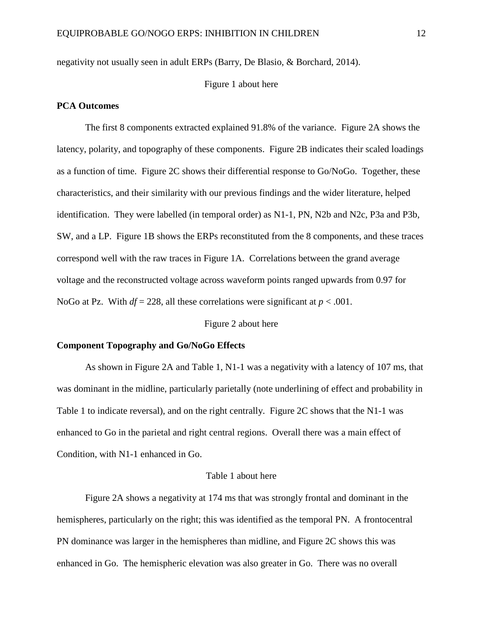negativity not usually seen in adult ERPs (Barry, De Blasio, & Borchard, 2014).

#### Figure 1 about here

#### **PCA Outcomes**

The first 8 components extracted explained 91.8% of the variance. Figure 2A shows the latency, polarity, and topography of these components. Figure 2B indicates their scaled loadings as a function of time. Figure 2C shows their differential response to Go/NoGo. Together, these characteristics, and their similarity with our previous findings and the wider literature, helped identification. They were labelled (in temporal order) as N1-1, PN, N2b and N2c, P3a and P3b, SW, and a LP. Figure 1B shows the ERPs reconstituted from the 8 components, and these traces correspond well with the raw traces in Figure 1A. Correlations between the grand average voltage and the reconstructed voltage across waveform points ranged upwards from 0.97 for NoGo at Pz. With  $df = 228$ , all these correlations were significant at  $p < .001$ .

#### Figure 2 about here

#### **Component Topography and Go/NoGo Effects**

As shown in Figure 2A and Table 1, N1-1 was a negativity with a latency of 107 ms, that was dominant in the midline, particularly parietally (note underlining of effect and probability in Table 1 to indicate reversal), and on the right centrally. Figure 2C shows that the N1-1 was enhanced to Go in the parietal and right central regions. Overall there was a main effect of Condition, with N1-1 enhanced in Go.

#### Table 1 about here

Figure 2A shows a negativity at 174 ms that was strongly frontal and dominant in the hemispheres, particularly on the right; this was identified as the temporal PN. A frontocentral PN dominance was larger in the hemispheres than midline, and Figure 2C shows this was enhanced in Go. The hemispheric elevation was also greater in Go. There was no overall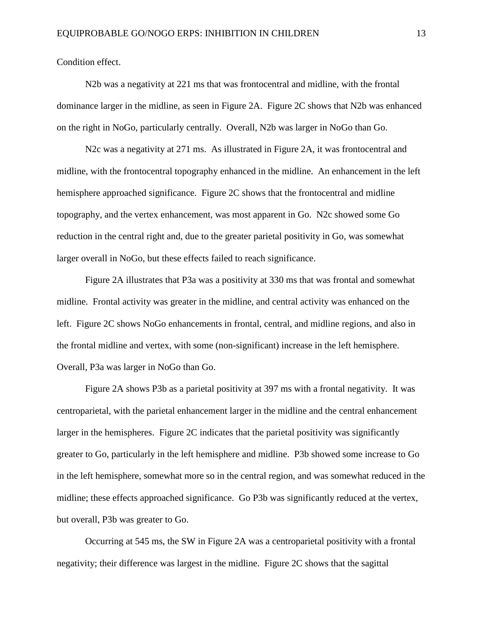Condition effect.

N2b was a negativity at 221 ms that was frontocentral and midline, with the frontal dominance larger in the midline, as seen in Figure 2A. Figure 2C shows that N2b was enhanced on the right in NoGo, particularly centrally. Overall, N2b was larger in NoGo than Go.

N2c was a negativity at 271 ms. As illustrated in Figure 2A, it was frontocentral and midline, with the frontocentral topography enhanced in the midline. An enhancement in the left hemisphere approached significance. Figure 2C shows that the frontocentral and midline topography, and the vertex enhancement, was most apparent in Go. N2c showed some Go reduction in the central right and, due to the greater parietal positivity in Go, was somewhat larger overall in NoGo, but these effects failed to reach significance.

Figure 2A illustrates that P3a was a positivity at 330 ms that was frontal and somewhat midline. Frontal activity was greater in the midline, and central activity was enhanced on the left. Figure 2C shows NoGo enhancements in frontal, central, and midline regions, and also in the frontal midline and vertex, with some (non-significant) increase in the left hemisphere. Overall, P3a was larger in NoGo than Go.

Figure 2A shows P3b as a parietal positivity at 397 ms with a frontal negativity. It was centroparietal, with the parietal enhancement larger in the midline and the central enhancement larger in the hemispheres. Figure 2C indicates that the parietal positivity was significantly greater to Go, particularly in the left hemisphere and midline. P3b showed some increase to Go in the left hemisphere, somewhat more so in the central region, and was somewhat reduced in the midline; these effects approached significance. Go P3b was significantly reduced at the vertex, but overall, P3b was greater to Go.

Occurring at 545 ms, the SW in Figure 2A was a centroparietal positivity with a frontal negativity; their difference was largest in the midline. Figure 2C shows that the sagittal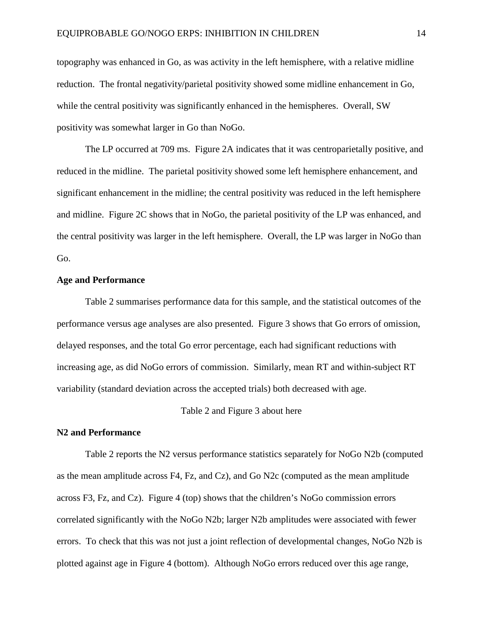topography was enhanced in Go, as was activity in the left hemisphere, with a relative midline reduction. The frontal negativity/parietal positivity showed some midline enhancement in Go, while the central positivity was significantly enhanced in the hemispheres. Overall, SW positivity was somewhat larger in Go than NoGo.

The LP occurred at 709 ms. Figure 2A indicates that it was centroparietally positive, and reduced in the midline. The parietal positivity showed some left hemisphere enhancement, and significant enhancement in the midline; the central positivity was reduced in the left hemisphere and midline. Figure 2C shows that in NoGo, the parietal positivity of the LP was enhanced, and the central positivity was larger in the left hemisphere. Overall, the LP was larger in NoGo than Go.

#### **Age and Performance**

Table 2 summarises performance data for this sample, and the statistical outcomes of the performance versus age analyses are also presented. Figure 3 shows that Go errors of omission, delayed responses, and the total Go error percentage, each had significant reductions with increasing age, as did NoGo errors of commission. Similarly, mean RT and within-subject RT variability (standard deviation across the accepted trials) both decreased with age.

#### Table 2 and Figure 3 about here

#### **N2 and Performance**

Table 2 reports the N2 versus performance statistics separately for NoGo N2b (computed as the mean amplitude across  $F4$ ,  $Fz$ , and  $Cz$ ), and  $Go$   $N2c$  (computed as the mean amplitude across F3, Fz, and Cz). Figure 4 (top) shows that the children's NoGo commission errors correlated significantly with the NoGo N2b; larger N2b amplitudes were associated with fewer errors. To check that this was not just a joint reflection of developmental changes, NoGo N2b is plotted against age in Figure 4 (bottom). Although NoGo errors reduced over this age range,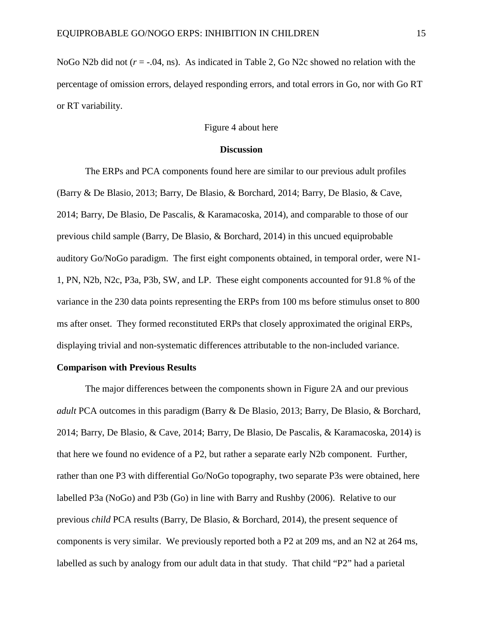NoGo N2b did not  $(r = -0.04, \text{ns})$ . As indicated in Table 2, Go N2c showed no relation with the percentage of omission errors, delayed responding errors, and total errors in Go, nor with Go RT or RT variability.

#### Figure 4 about here

#### **Discussion**

The ERPs and PCA components found here are similar to our previous adult profiles (Barry & De Blasio, 2013; Barry, De Blasio, & Borchard, 2014; Barry, De Blasio, & Cave, 2014; Barry, De Blasio, De Pascalis, & Karamacoska, 2014), and comparable to those of our previous child sample (Barry, De Blasio, & Borchard, 2014) in this uncued equiprobable auditory Go/NoGo paradigm. The first eight components obtained, in temporal order, were N1- 1, PN, N2b, N2c, P3a, P3b, SW, and LP. These eight components accounted for 91.8 % of the variance in the 230 data points representing the ERPs from 100 ms before stimulus onset to 800 ms after onset. They formed reconstituted ERPs that closely approximated the original ERPs, displaying trivial and non-systematic differences attributable to the non-included variance.

#### **Comparison with Previous Results**

The major differences between the components shown in Figure 2A and our previous *adult* PCA outcomes in this paradigm (Barry & De Blasio, 2013; Barry, De Blasio, & Borchard, 2014; Barry, De Blasio, & Cave, 2014; Barry, De Blasio, De Pascalis, & Karamacoska, 2014) is that here we found no evidence of a P2, but rather a separate early N2b component. Further, rather than one P3 with differential Go/NoGo topography, two separate P3s were obtained, here labelled P3a (NoGo) and P3b (Go) in line with Barry and Rushby (2006). Relative to our previous *child* PCA results (Barry, De Blasio, & Borchard, 2014), the present sequence of components is very similar. We previously reported both a P2 at 209 ms, and an N2 at 264 ms, labelled as such by analogy from our adult data in that study. That child "P2" had a parietal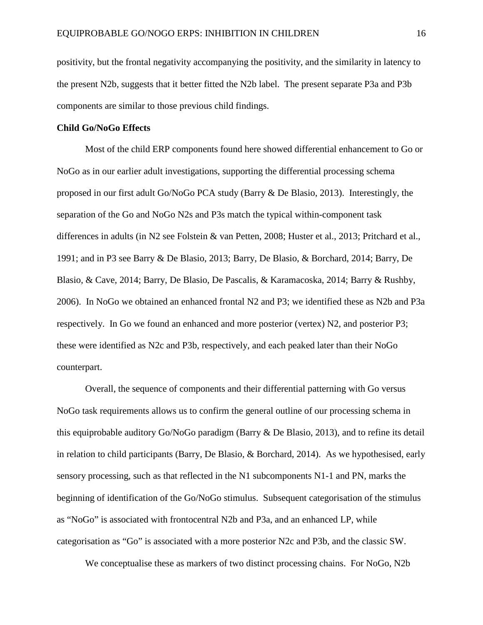positivity, but the frontal negativity accompanying the positivity, and the similarity in latency to the present N2b, suggests that it better fitted the N2b label. The present separate P3a and P3b components are similar to those previous child findings.

#### **Child Go/NoGo Effects**

Most of the child ERP components found here showed differential enhancement to Go or NoGo as in our earlier adult investigations, supporting the differential processing schema proposed in our first adult Go/NoGo PCA study (Barry & De Blasio, 2013). Interestingly, the separation of the Go and NoGo N2s and P3s match the typical within-component task differences in adults (in N2 see Folstein & van Petten, 2008; Huster et al., 2013; Pritchard et al., 1991; and in P3 see Barry & De Blasio, 2013; Barry, De Blasio, & Borchard, 2014; Barry, De Blasio, & Cave, 2014; Barry, De Blasio, De Pascalis, & Karamacoska, 2014; Barry & Rushby, 2006). In NoGo we obtained an enhanced frontal N2 and P3; we identified these as N2b and P3a respectively. In Go we found an enhanced and more posterior (vertex) N2, and posterior P3; these were identified as N2c and P3b, respectively, and each peaked later than their NoGo counterpart.

Overall, the sequence of components and their differential patterning with Go versus NoGo task requirements allows us to confirm the general outline of our processing schema in this equiprobable auditory Go/NoGo paradigm (Barry & De Blasio, 2013), and to refine its detail in relation to child participants (Barry, De Blasio, & Borchard, 2014). As we hypothesised, early sensory processing, such as that reflected in the N1 subcomponents N1-1 and PN, marks the beginning of identification of the Go/NoGo stimulus. Subsequent categorisation of the stimulus as "NoGo" is associated with frontocentral N2b and P3a, and an enhanced LP, while categorisation as "Go" is associated with a more posterior N2c and P3b, and the classic SW.

We conceptualise these as markers of two distinct processing chains. For NoGo, N2b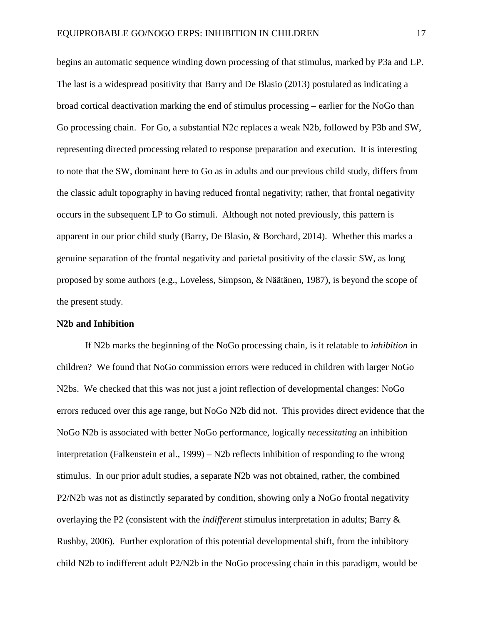begins an automatic sequence winding down processing of that stimulus, marked by P3a and LP. The last is a widespread positivity that Barry and De Blasio (2013) postulated as indicating a broad cortical deactivation marking the end of stimulus processing – earlier for the NoGo than Go processing chain. For Go, a substantial N2c replaces a weak N2b, followed by P3b and SW, representing directed processing related to response preparation and execution. It is interesting to note that the SW, dominant here to Go as in adults and our previous child study, differs from the classic adult topography in having reduced frontal negativity; rather, that frontal negativity occurs in the subsequent LP to Go stimuli. Although not noted previously, this pattern is apparent in our prior child study (Barry, De Blasio, & Borchard, 2014). Whether this marks a genuine separation of the frontal negativity and parietal positivity of the classic SW, as long proposed by some authors (e.g., Loveless, Simpson, & Näätänen, 1987), is beyond the scope of the present study.

#### **N2b and Inhibition**

If N2b marks the beginning of the NoGo processing chain, is it relatable to *inhibition* in children? We found that NoGo commission errors were reduced in children with larger NoGo N2bs. We checked that this was not just a joint reflection of developmental changes: NoGo errors reduced over this age range, but NoGo N2b did not. This provides direct evidence that the NoGo N2b is associated with better NoGo performance, logically *necessitating* an inhibition interpretation (Falkenstein et al., 1999) – N2b reflects inhibition of responding to the wrong stimulus. In our prior adult studies, a separate N2b was not obtained, rather, the combined P2/N2b was not as distinctly separated by condition, showing only a NoGo frontal negativity overlaying the P2 (consistent with the *indifferent* stimulus interpretation in adults; Barry & Rushby, 2006). Further exploration of this potential developmental shift, from the inhibitory child N2b to indifferent adult P2/N2b in the NoGo processing chain in this paradigm, would be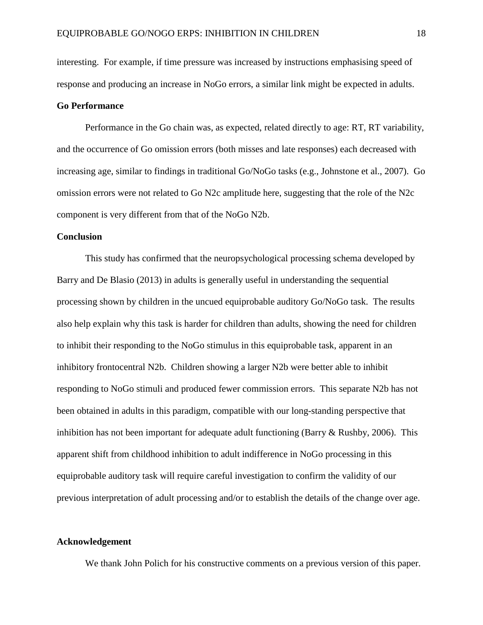interesting. For example, if time pressure was increased by instructions emphasising speed of response and producing an increase in NoGo errors, a similar link might be expected in adults.

## **Go Performance**

Performance in the Go chain was, as expected, related directly to age: RT, RT variability, and the occurrence of Go omission errors (both misses and late responses) each decreased with increasing age, similar to findings in traditional Go/NoGo tasks (e.g., Johnstone et al., 2007). Go omission errors were not related to Go N2c amplitude here, suggesting that the role of the N2c component is very different from that of the NoGo N2b.

#### **Conclusion**

This study has confirmed that the neuropsychological processing schema developed by Barry and De Blasio (2013) in adults is generally useful in understanding the sequential processing shown by children in the uncued equiprobable auditory Go/NoGo task. The results also help explain why this task is harder for children than adults, showing the need for children to inhibit their responding to the NoGo stimulus in this equiprobable task, apparent in an inhibitory frontocentral N2b. Children showing a larger N2b were better able to inhibit responding to NoGo stimuli and produced fewer commission errors. This separate N2b has not been obtained in adults in this paradigm, compatible with our long-standing perspective that inhibition has not been important for adequate adult functioning (Barry & Rushby, 2006). This apparent shift from childhood inhibition to adult indifference in NoGo processing in this equiprobable auditory task will require careful investigation to confirm the validity of our previous interpretation of adult processing and/or to establish the details of the change over age.

#### **Acknowledgement**

We thank John Polich for his constructive comments on a previous version of this paper.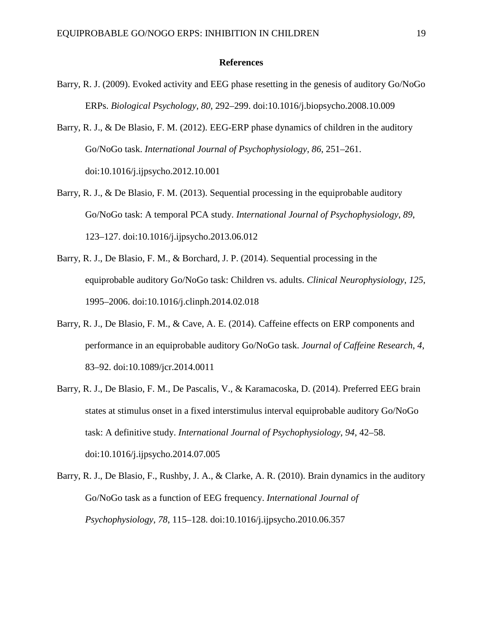#### **References**

- Barry, R. J. (2009). Evoked activity and EEG phase resetting in the genesis of auditory Go/NoGo ERPs. *Biological Psychology*, *80*, 292–299. doi:10.1016/j.biopsycho.2008.10.009
- Barry, R. J., & De Blasio, F. M. (2012). EEG-ERP phase dynamics of children in the auditory Go/NoGo task. *International Journal of Psychophysiology*, *86*, 251–261. doi:10.1016/j.ijpsycho.2012.10.001
- Barry, R. J., & De Blasio, F. M. (2013). Sequential processing in the equiprobable auditory Go/NoGo task: A temporal PCA study. *International Journal of Psychophysiology*, *89*, 123–127. doi:10.1016/j.ijpsycho.2013.06.012
- Barry, R. J., De Blasio, F. M., & Borchard, J. P. (2014). Sequential processing in the equiprobable auditory Go/NoGo task: Children vs. adults. *Clinical Neurophysiology*, *125*, 1995–2006. doi:10.1016/j.clinph.2014.02.018
- Barry, R. J., De Blasio, F. M., & Cave, A. E. (2014). Caffeine effects on ERP components and performance in an equiprobable auditory Go/NoGo task. *Journal of Caffeine Research*, *4*, 83–92. doi:10.1089/jcr.2014.0011
- Barry, R. J., De Blasio, F. M., De Pascalis, V., & Karamacoska, D. (2014). Preferred EEG brain states at stimulus onset in a fixed interstimulus interval equiprobable auditory Go/NoGo task: A definitive study. *International Journal of Psychophysiology*, *94*, 42–58. doi:10.1016/j.ijpsycho.2014.07.005
- Barry, R. J., De Blasio, F., Rushby, J. A., & Clarke, A. R. (2010). Brain dynamics in the auditory Go/NoGo task as a function of EEG frequency. *International Journal of Psychophysiology*, *78*, 115–128. doi:10.1016/j.ijpsycho.2010.06.357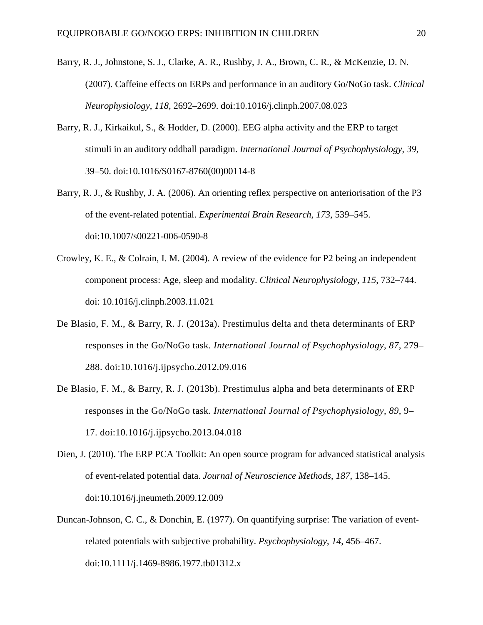- Barry, R. J., Johnstone, S. J., Clarke, A. R., Rushby, J. A., Brown, C. R., & McKenzie, D. N. (2007). Caffeine effects on ERPs and performance in an auditory Go/NoGo task. *Clinical Neurophysiology*, *118*, 2692–2699. doi:10.1016/j.clinph.2007.08.023
- Barry, R. J., Kirkaikul, S., & Hodder, D. (2000). EEG alpha activity and the ERP to target stimuli in an auditory oddball paradigm. *International Journal of Psychophysiology*, *39*, 39–50. doi:10.1016/S0167-8760(00)00114-8
- Barry, R. J., & Rushby, J. A. (2006). An orienting reflex perspective on anteriorisation of the P3 of the event-related potential. *Experimental Brain Research, 173*, 539–545. doi:10.1007/s00221-006-0590-8
- Crowley, K. E., & Colrain, I. M. (2004). A review of the evidence for P2 being an independent component process: Age, sleep and modality. *Clinical Neurophysiology*, *115*, 732–744. doi: 10.1016/j.clinph.2003.11.021
- De Blasio, F. M., & Barry, R. J. (2013a). Prestimulus delta and theta determinants of ERP responses in the Go/NoGo task. *International Journal of Psychophysiology*, *87*, 279– 288. doi:10.1016/j.ijpsycho.2012.09.016
- De Blasio, F. M., & Barry, R. J. (2013b). Prestimulus alpha and beta determinants of ERP responses in the Go/NoGo task. *International Journal of Psychophysiology*, *89*, 9– 17. doi:10.1016/j.ijpsycho.2013.04.018
- Dien, J. (2010). The ERP PCA Toolkit: An open source program for advanced statistical analysis of event-related potential data. *Journal of Neuroscience Methods*, *187*, 138–145. doi:10.1016/j.jneumeth.2009.12.009
- Duncan-Johnson, C. C., & Donchin, E. (1977). On quantifying surprise: The variation of eventrelated potentials with subjective probability. *Psychophysiology*, *14*, 456–467. doi:10.1111/j.1469-8986.1977.tb01312.x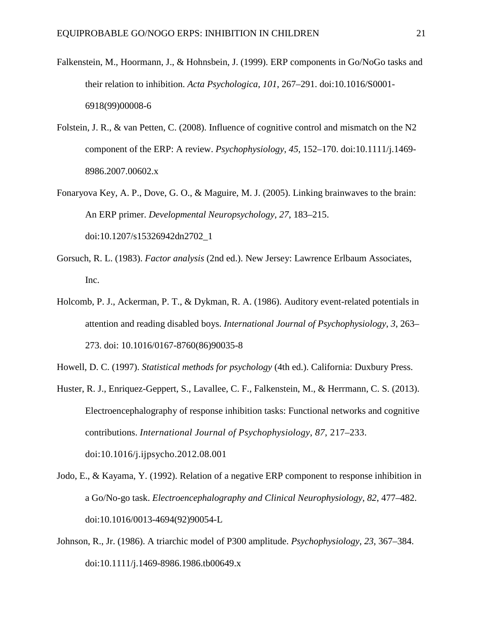- Falkenstein, M., Hoormann, J., & Hohnsbein, J. (1999). ERP components in Go/NoGo tasks and their relation to inhibition. *Acta Psychologica*, *101*, 267–291. doi:10.1016/S0001- 6918(99)00008-6
- Folstein, J. R., & van Petten, C. (2008). Influence of cognitive control and mismatch on the N2 component of the ERP: A review. *Psychophysiology*, *45*, 152–170. doi:10.1111/j.1469- 8986.2007.00602.x
- Fonaryova Key, A. P., Dove, G. O., & Maguire, M. J. (2005). Linking brainwaves to the brain: An ERP primer. *Developmental Neuropsychology*, *27*, 183–215. doi:10.1207/s15326942dn2702\_1
- Gorsuch, R. L. (1983). *Factor analysis* (2nd ed.). New Jersey: Lawrence Erlbaum Associates, Inc.
- Holcomb, P. J., Ackerman, P. T., & Dykman, R. A. (1986). Auditory event-related potentials in attention and reading disabled boys. *International Journal of Psychophysiology*, *3*, 263– 273. doi: 10.1016/0167-8760(86)90035-8

Howell, D. C. (1997). *Statistical methods for psychology* (4th ed.). California: Duxbury Press.

- Huster, R. J., Enriquez-Geppert, S., Lavallee, C. F., Falkenstein, M., & Herrmann, C. S. (2013). Electroencephalography of response inhibition tasks: Functional networks and cognitive contributions. *International Journal of Psychophysiology*, *87*, 217–233. doi:10.1016/j.ijpsycho.2012.08.001
- Jodo, E., & Kayama, Y. (1992). Relation of a negative ERP component to response inhibition in a Go/No-go task. *Electroencephalography and Clinical Neurophysiology*, *82*, 477–482. doi:10.1016/0013-4694(92)90054-L
- Johnson, R., Jr. (1986). A triarchic model of P300 amplitude. *Psychophysiology*, *23*, 367–384. doi:10.1111/j.1469-8986.1986.tb00649.x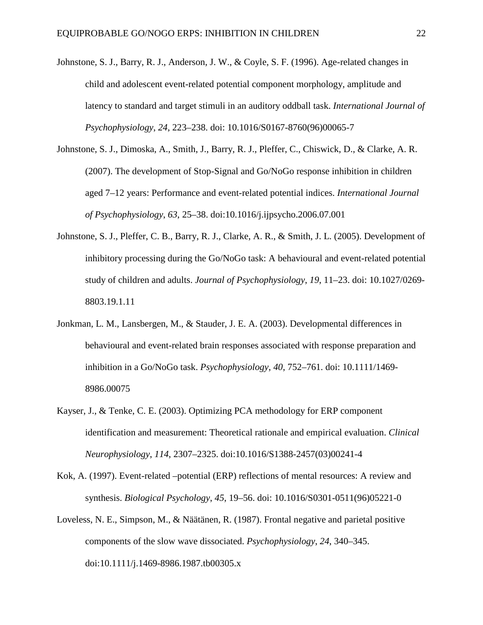- Johnstone, S. J., Barry, R. J., Anderson, J. W., & Coyle, S. F. (1996). Age-related changes in child and adolescent event-related potential component morphology, amplitude and latency to standard and target stimuli in an auditory oddball task. *International Journal of Psychophysiology*, *24*, 223–238. doi: 10.1016/S0167-8760(96)00065-7
- Johnstone, S. J., Dimoska, A., Smith, J., Barry, R. J., Pleffer, C., Chiswick, D., & Clarke, A. R. (2007). The development of Stop-Signal and Go/NoGo response inhibition in children aged 7–12 years: Performance and event-related potential indices. *International Journal of Psychophysiology*, *63*, 25–38. doi:10.1016/j.ijpsycho.2006.07.001
- Johnstone, S. J., Pleffer, C. B., Barry, R. J., Clarke, A. R., & Smith, J. L. (2005). Development of inhibitory processing during the Go/NoGo task: A behavioural and event-related potential study of children and adults. *Journal of Psychophysiology*, *19*, 11–23. doi: 10.1027/0269- 8803.19.1.11
- Jonkman, L. M., Lansbergen, M., & Stauder, J. E. A. (2003). Developmental differences in behavioural and event-related brain responses associated with response preparation and inhibition in a Go/NoGo task. *Psychophysiology*, *40*, 752–761. doi: 10.1111/1469- 8986.00075
- Kayser, J., & Tenke, C. E. (2003). Optimizing PCA methodology for ERP component identification and measurement: Theoretical rationale and empirical evaluation. *Clinical Neurophysiology*, *114*, 2307–2325. doi:10.1016/S1388-2457(03)00241-4
- Kok, A. (1997). Event-related –potential (ERP) reflections of mental resources: A review and synthesis. *Biological Psychology*, *45*, 19–56. doi: 10.1016/S0301-0511(96)05221-0
- Loveless, N. E., Simpson, M., & Näätänen, R. (1987). Frontal negative and parietal positive components of the slow wave dissociated. *Psychophysiology*, *24*, 340–345. doi:10.1111/j.1469-8986.1987.tb00305.x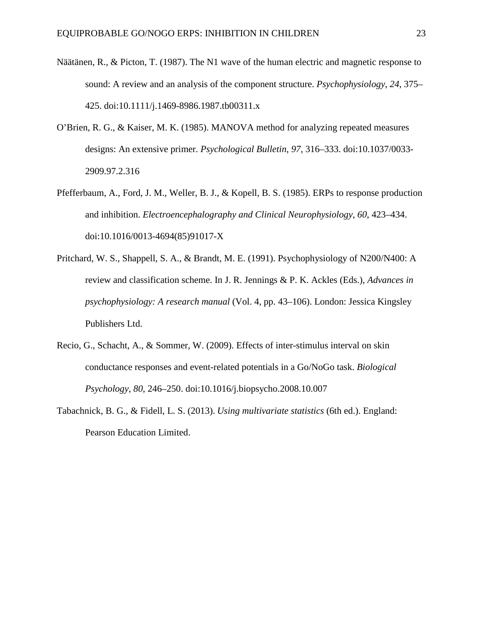- Näätänen, R., & Picton, T. (1987). The N1 wave of the human electric and magnetic response to sound: A review and an analysis of the component structure. *Psychophysiology*, *24*, 375– 425. doi:10.1111/j.1469-8986.1987.tb00311.x
- O'Brien, R. G., & Kaiser, M. K. (1985). MANOVA method for analyzing repeated measures designs: An extensive primer. *Psychological Bulletin*, *97*, 316–333. doi:10.1037/0033- 2909.97.2.316
- Pfefferbaum, A., Ford, J. M., Weller, B. J., & Kopell, B. S. (1985). ERPs to response production and inhibition. *Electroencephalography and Clinical Neurophysiology*, *60*, 423–434. doi:10.1016/0013-4694(85)91017-X
- Pritchard, W. S., Shappell, S. A., & Brandt, M. E. (1991). Psychophysiology of N200/N400: A review and classification scheme. In J. R. Jennings & P. K. Ackles (Eds.), *Advances in psychophysiology: A research manual* (Vol. 4, pp. 43–106). London: Jessica Kingsley Publishers Ltd.
- Recio, G., Schacht, A., & Sommer, W. (2009). Effects of inter-stimulus interval on skin conductance responses and event-related potentials in a Go/NoGo task. *Biological Psychology*, *80*, 246–250. doi:10.1016/j.biopsycho.2008.10.007
- Tabachnick, B. G., & Fidell, L. S. (2013). *Using multivariate statistics* (6th ed.). England: Pearson Education Limited.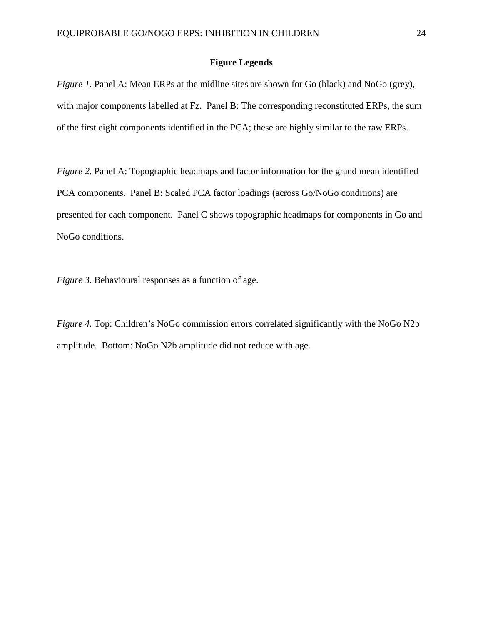## **Figure Legends**

*Figure 1.* Panel A: Mean ERPs at the midline sites are shown for Go (black) and NoGo (grey), with major components labelled at Fz. Panel B: The corresponding reconstituted ERPs, the sum of the first eight components identified in the PCA; these are highly similar to the raw ERPs.

*Figure 2.* Panel A: Topographic headmaps and factor information for the grand mean identified PCA components. Panel B: Scaled PCA factor loadings (across Go/NoGo conditions) are presented for each component. Panel C shows topographic headmaps for components in Go and NoGo conditions.

*Figure 3.* Behavioural responses as a function of age.

*Figure 4.* Top: Children's NoGo commission errors correlated significantly with the NoGo N2b amplitude. Bottom: NoGo N2b amplitude did not reduce with age.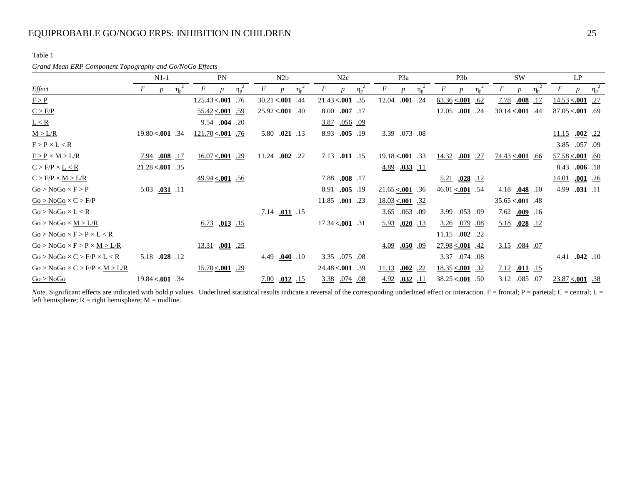## EQUIPROBABLE GO/NOGO ERPS: INHIBITION IN CHILDREN 25

Table 1

#### *Grand Mean ERP Component Topography and Go/NoGo Effects*

|                                           | $N1-1$                                               | <b>PN</b>                          | N2b                                     | N2c                                                  | P <sub>3</sub> a                                     | P <sub>3</sub> b                    | <b>SW</b>                           | LP                                  |
|-------------------------------------------|------------------------------------------------------|------------------------------------|-----------------------------------------|------------------------------------------------------|------------------------------------------------------|-------------------------------------|-------------------------------------|-------------------------------------|
| Effect                                    | F<br>$\eta_{\rm p}$ <sup>2</sup><br>$\boldsymbol{p}$ | $\eta_{\rm p}$<br>$\boldsymbol{p}$ | F<br>$\eta_{\rm p}$<br>$\boldsymbol{D}$ | F<br>$\eta_{\rm p}$ <sup>2</sup><br>$\boldsymbol{D}$ | F<br>$\eta_{\rm p}$ <sup>2</sup><br>$\boldsymbol{p}$ | F<br>$\boldsymbol{D}$               | F<br>$\eta_{\rm p}$<br><sub>n</sub> | $\eta_p^2$<br>F<br>$\boldsymbol{p}$ |
| F > P                                     |                                                      | $125.43 < .001$ .76                | $30.21 < .001$ .44                      | $21.43 < .001$ .35                                   | 12.04 .001 .24                                       | $\underline{63.36} \leq 0.001$ .62  | 7.78<br>$.008$ .17                  | $14.53 \le 0.001$ .27               |
| C > F/P                                   |                                                      | $\frac{55.42}{50.42}$              | $25.92 < .001$ .40                      | 8.00 .007 .17                                        |                                                      | 12.05 .001 .24                      | $30.14 < .001$ .44                  | $87.05 < .001$ .69                  |
| L < R                                     |                                                      | 9.54 .004 .20                      |                                         | 3.87 .056 .09                                        |                                                      |                                     |                                     |                                     |
| M > L/R                                   | $19.80 < .001$ .34                                   | $121.70 \le 0.001$ .76             | 5.80 .021 .13                           | 8.93 .005 .19                                        | 3.39 .073 .08                                        |                                     |                                     | $.002$ .22<br>11.15                 |
| $F > P \times L < R$                      |                                                      |                                    |                                         |                                                      |                                                      |                                     |                                     | 3.85 .057 .09                       |
| $F > P \times M > L/R$                    | $.008$ .17<br>7.94                                   | $16.07 \le 0.001$ .29              | 11.24 .002 .22                          | 7.13 .011 .15                                        | $19.18 < .001$ .33                                   | 14.32<br>$.001$ .27                 | $74.43 < .001$ .66                  | $57.58 \le 0.001$ .60               |
| $C > F/P \times L \le R$                  | $21.28 < .001$ .35                                   |                                    |                                         |                                                      | $\frac{4.89}{0.033}$ .11                             |                                     |                                     | 8.43<br>$.006$ .18                  |
| $C > F/P \times M > L/R$                  |                                                      | $\frac{49.94}{56}$ <.001 .56       |                                         | $.008$ .17<br>7.88                                   |                                                      | $\underline{5.21}$ .028 .12         |                                     | $.001$ .26<br><u>14.01</u>          |
| $Go > NoGo \times F > P$                  | $5.03$ .031 .11                                      |                                    |                                         | 8.91<br>$.005$ .19                                   | $21.65 \le 0.001$ .36                                | $\frac{46.01}{54}$ $\leq 0.001$ .54 | 4.18<br>$.048$ .10                  | 4.99<br>$.031$ .11                  |
| $Go > NoGo \times C > F/P$                |                                                      |                                    |                                         | 11.85 .001 .23                                       | $\underline{18.03}$ < 001 .32                        |                                     | $35.65 < .001$ .48                  |                                     |
| $Go > NoGo \times L < R$                  |                                                      |                                    | $\frac{7.14}{0.011}$ .15                |                                                      | 3.65 .063 .09                                        | <u>.053 .09</u><br><u>3.99</u>      | 7.62<br>$.009$ .16                  |                                     |
| $Go > NoGo \times M > L/R$                |                                                      | $6.73$ $.013$ $.15$                |                                         | $17.34 < .001$ .31                                   | $\underline{5.93}$ .020 .13                          | <u>.079 .08</u><br><u>3.26</u>      | 5.18<br>$.028$ .12                  |                                     |
| $Go > NoGo \times F > P \times L < R$     |                                                      |                                    |                                         |                                                      |                                                      | 11.15 .002 .22                      |                                     |                                     |
| $Go > NoGo \times F > P \times M > L/R$   |                                                      | 13.31 .001 .25                     |                                         |                                                      | $\underline{4.09}$ .050 .09                          | $27.98 \le 0.001$ .42               | 3.15 .084 .07                       |                                     |
| $Go > NoGo \times C > F/P \times L < R$   | 5.18 .028 .12                                        |                                    | $\frac{4.49}{0.040}$ .10                | 3.35 .075 .08                                        |                                                      | 3.37 .074 .08                       |                                     | 4.41 .042 .10                       |
| $Go > NoGo \times C > F/P \times M > L/R$ |                                                      | $15.70 \le 0.001$ .29              |                                         | $24.48 \times 001$ .39                               | .002<br><u>11.13</u><br><u>.22</u>                   | $18.35 \le 0.001$ .32               | $7.12$ $.011$ $.15$                 |                                     |
| Go > NoGo                                 | $19.84 < .001$ .34                                   |                                    | 7.00<br>$.012$ .15                      | 3.38 .074 .08                                        | 4.92<br>$.032$ .11                                   | $38.25 < .001$ .50                  | 3.12 .085 .07                       | $23.87 \le 0.001$ .38               |

*Note.* Significant effects are indicated with bold *p* values. Underlined statistical results indicate a reversal of the corresponding underlined effect or interaction. F = frontal; P = parietal; C = central; L = left hemisphere;  $R =$  right hemisphere;  $M =$  midline.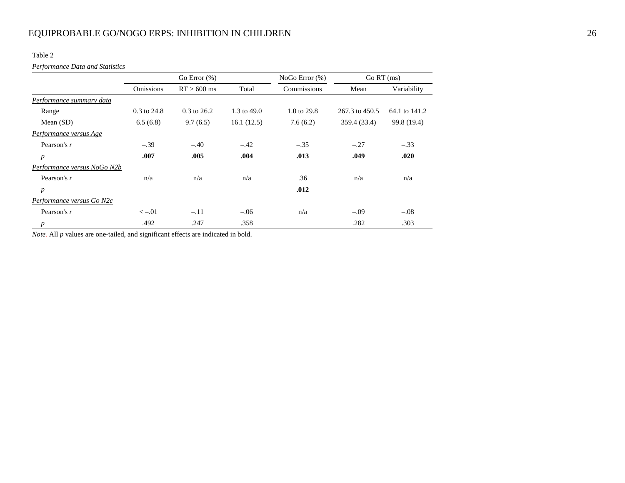Table 2

*Performance Data and Statistics*

|                             |                  | Go Error $(\%)$ |             | NoGo Error (%) | Go RT (ms)     |               |
|-----------------------------|------------------|-----------------|-------------|----------------|----------------|---------------|
|                             | <b>Omissions</b> | $RT > 600$ ms   | Total       | Commissions    | Mean           | Variability   |
| Performance summary data    |                  |                 |             |                |                |               |
| Range                       | $0.3$ to $24.8$  | $0.3$ to 26.2   | 1.3 to 49.0 | 1.0 to 29.8    | 267.3 to 450.5 | 64.1 to 141.2 |
| Mean $(SD)$                 | 6.5(6.8)         | 9.7(6.5)        | 16.1(12.5)  | 7.6(6.2)       | 359.4 (33.4)   | 99.8 (19.4)   |
| Performance versus Age      |                  |                 |             |                |                |               |
| Pearson's r                 | $-.39$           | $-.40$          | $-.42$      | $-.35$         | $-.27$         | $-.33$        |
| $\boldsymbol{p}$            | .007             | .005            | .004        | .013           | .049           | .020          |
| Performance versus NoGo N2b |                  |                 |             |                |                |               |
| Pearson's r                 | n/a              | n/a             | n/a         | .36            | n/a            | n/a           |
| $\boldsymbol{p}$            |                  |                 |             | .012           |                |               |
| Performance versus Go N2c   |                  |                 |             |                |                |               |
| Pearson's r                 | $\lt -.01$       | $-.11$          | $-.06$      | n/a            | $-.09$         | $-.08$        |
| $\boldsymbol{p}$            | .492             | .247            | .358        |                | .282           | .303          |

*Note.* All *p* values are one-tailed, and significant effects are indicated in bold.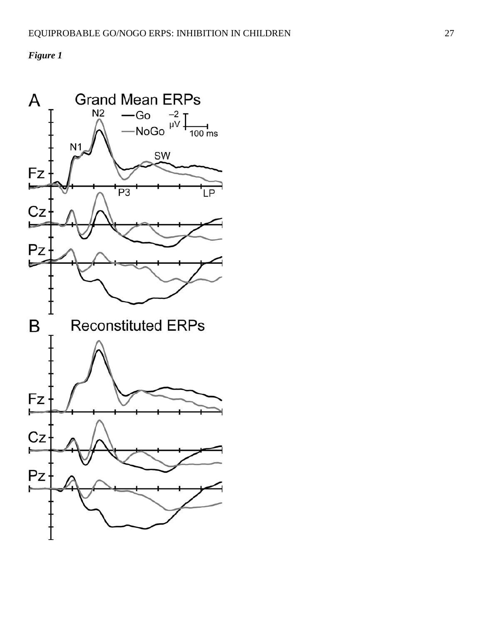*Figure 1*

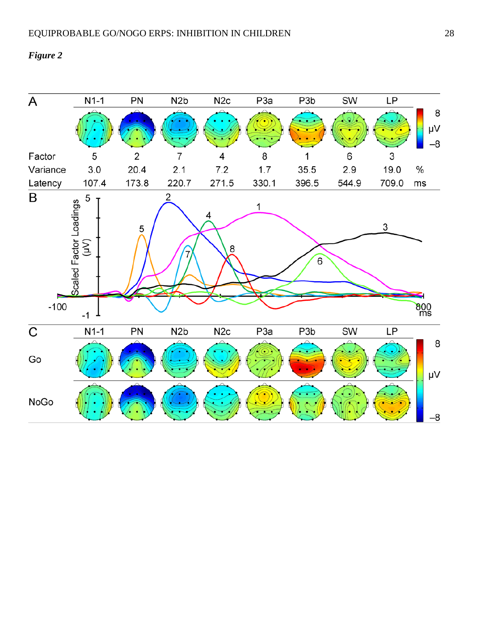## *Figure 2*

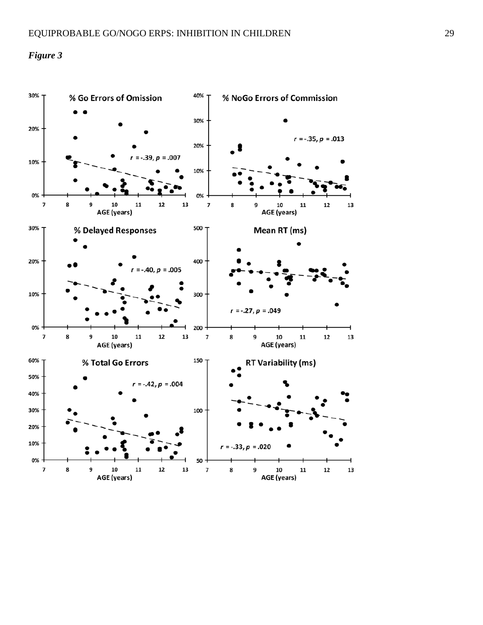